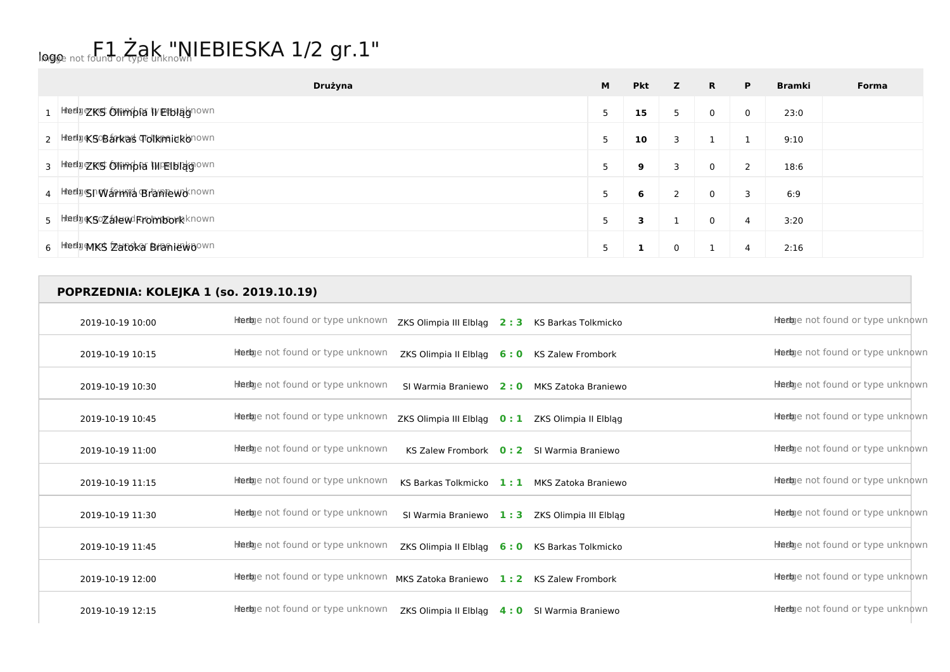## logo not found or type unknown IEBIESKA 1/2 gr.1"

**POPRZEDNIA: KOLEJKA 1 (so. 2019.10.19)**

| Drużyna                           | M | <b>Pkt</b> | z | $\mathbf{R}$ | P. | <b>Bramki</b> | Forma |
|-----------------------------------|---|------------|---|--------------|----|---------------|-------|
| 1 Hedge KS ON mpta WE tblagnown   |   | 15         | 5 | 0            | 0  | 23:0          |       |
| 2 Hedge SOB arkas Tolkmaid Ronown |   | 10         | 3 |              |    | 9:10          |       |
| 3 Hedgers Olimpia IMPEIblagown    |   | 9          | 3 | 0            | 2  | 18:6          |       |
| 4 HedgshWarmid Braniewoknown      |   | 6          | 2 | 0            | 3  | 6:9           |       |
| 5 HiedDRSOZaleWRomborRknown       | 5 | 3          |   | 0            | 4  | 3:20          |       |
| 6 Hiedu MKS Zatoka Braniewoown    |   |            | 0 |              | 4  | 2:16          |       |

## 2019-10-19 10:00 **Herb** Inter Indian University of the University of the University of the University of the University of the University of the University of the University of the University of the University of the Unive 2019-10-19 10:15 **Herb** Intertwee not found or type unknown ZKS Olimpia II Elblag **6 : 0** KS Zalew Frombork Herb Image not found or type unknown 2019-10-19 10:30 **Herb** Intertige not found or type unknown SI Warmia Braniewo 2: 0 MKS Zatoka Braniewo **2: 0 MKS Zatoka Braniewo** Herb India Drive unknown 2019-10-19 10:45 **Herb** Inter India or type unknown ZKS Olimpia III Elbląg 0:1 ZKS Olimpia II Elbląg **11 ZKS Olimpia II Elbląg 10:45** Herb India or type unknown 2019-10-19 11:00 **Herb** Institute on the Unit of type unknown KS Zalew Frombork **0 : 2** SI Warmia Braniewo **Herb Image 11:00** Herb India or type unknown 2019-10-19 11:15 **Herb** Image not found or type unknown **KS Barkas Tolkmicko 1:1 MKS Zatoka Braniewo Herb Image not found or type unknown** 2019-10-19 11:30 **Herb** Image not found or type unknown SI Warmia Braniewo 1:3 ZKS Olimpia III Elblag Herb Image hot found or type unknown 2019-10-19 11:45 **Herb** Intertige not found or type unknown ZKS Olimpia II Elblag 6:0 KS Barkas Tolkmicko **Herb Image 11:45** Herby ent found or type unknown 2019-10-19 12:00 **Herb** Intertive not found or type unknown MKS Zatoka Braniewo 1: 2 KS Zalew Frombork Herb Image not found or type unknown

2019-10-19 12:15 **Herb** Inter India or type unknown ZKS Olimpia II Elbląg 4:0 SI Warmia Braniewo Herb Image not found or type unknown